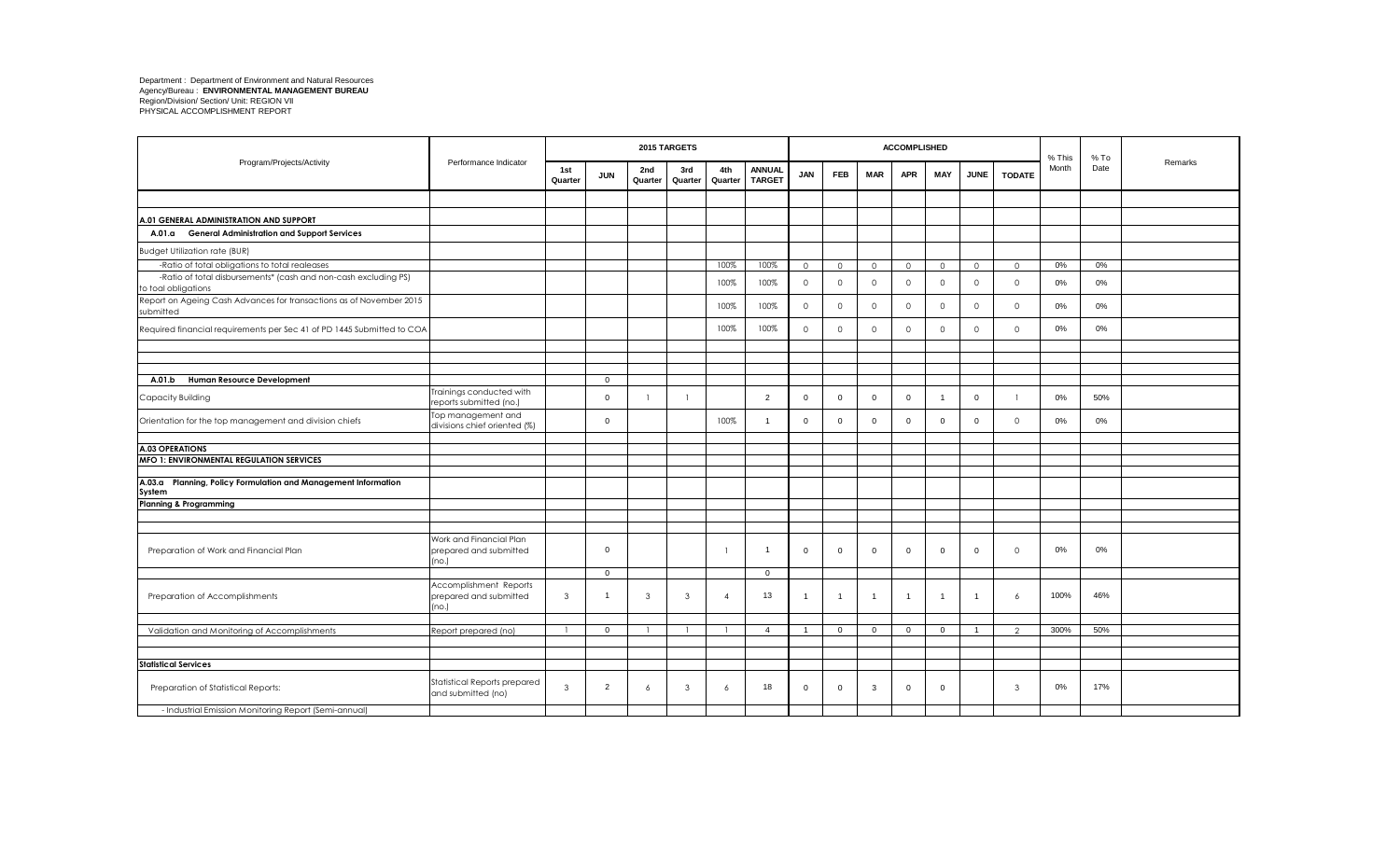|                                                                                        |                                                            |                |                |                | 2015 TARGETS   |                |                                |                |                |                         | <b>ACCOMPLISHED</b> |                |                |               | % This | $%$ To |         |
|----------------------------------------------------------------------------------------|------------------------------------------------------------|----------------|----------------|----------------|----------------|----------------|--------------------------------|----------------|----------------|-------------------------|---------------------|----------------|----------------|---------------|--------|--------|---------|
| Program/Projects/Activity                                                              | Performance Indicator                                      | 1st<br>Quarter | <b>JUN</b>     | 2nd<br>Quarter | 3rd<br>Quarter | 4th<br>Quarter | <b>ANNUAL</b><br><b>TARGET</b> | <b>JAN</b>     | <b>FEB</b>     | <b>MAR</b>              | <b>APR</b>          | MAY            | <b>JUNE</b>    | <b>TODATE</b> | Month  | Date   | Remarks |
|                                                                                        |                                                            |                |                |                |                |                |                                |                |                |                         |                     |                |                |               |        |        |         |
| A.01 GENERAL ADMINISTRATION AND SUPPORT                                                |                                                            |                |                |                |                |                |                                |                |                |                         |                     |                |                |               |        |        |         |
| <b>General Administration and Support Services</b><br>A.01.a                           |                                                            |                |                |                |                |                |                                |                |                |                         |                     |                |                |               |        |        |         |
| <b>Budget Utilization rate (BUR)</b>                                                   |                                                            |                |                |                |                |                |                                |                |                |                         |                     |                |                |               |        |        |         |
| -Ratio of total obligations to total realeases                                         |                                                            |                |                |                |                | 100%           | 100%                           | $\circ$        | $\circ$        | $\circ$                 | $\circ$             | $\circ$        | $\circ$        | $\circ$       | $0\%$  | $0\%$  |         |
| -Ratio of total disbursements* (cash and non-cash excluding PS)<br>to toal obligations |                                                            |                |                |                |                | 100%           | 100%                           | $\circ$        | $\mathbf 0$    | $\circ$                 | $\circ$             | $\mathbf 0$    | $\circ$        | $\circ$       | 0%     | 0%     |         |
| Report on Ageing Cash Advances for transactions as of November 2015<br>submitted       |                                                            |                |                |                |                | 100%           | 100%                           | $\mathbf{0}$   | $\Omega$       | $\circ$                 | $\circ$             | $\mathbf 0$    | $\circ$        | $\Omega$      | 0%     | 0%     |         |
| Required financial requirements per Sec 41 of PD 1445 Submitted to COA                 |                                                            |                |                |                |                | 100%           | 100%                           | $\circ$        | $\Omega$       | $\circ$                 | $\circ$             | $\mathbf 0$    | $\circ$        | $\Omega$      | 0%     | 0%     |         |
|                                                                                        |                                                            |                |                |                |                |                |                                |                |                |                         |                     |                |                |               |        |        |         |
|                                                                                        |                                                            |                |                |                |                |                |                                |                |                |                         |                     |                |                |               |        |        |         |
| A.01.b<br><b>Human Resource Development</b>                                            |                                                            |                | $\overline{0}$ |                |                |                |                                |                |                |                         |                     |                |                |               |        |        |         |
| Capacity Building                                                                      | Trainings conducted with<br>reports submitted (no.)        |                | $\Omega$       |                |                |                | 2                              | $\mathbf 0$    | $\Omega$       | 0                       | $\mathbf 0$         |                | $\mathbf 0$    |               | 0%     | 50%    |         |
| Orientation for the top management and division chiefs                                 | Top management and<br>divisions chief oriented (%)         |                | $\Omega$       |                |                | 100%           | $\overline{1}$                 | $\mathbf 0$    | $\Omega$       | $\mathbf{0}$            | $\mathbf{0}$        | $\overline{0}$ | $\Omega$       | $\Omega$      | 0%     | 0%     |         |
|                                                                                        |                                                            |                |                |                |                |                |                                |                |                |                         |                     |                |                |               |        |        |         |
| <b>A.03 OPERATIONS</b>                                                                 |                                                            |                |                |                |                |                |                                |                |                |                         |                     |                |                |               |        |        |         |
| <b>MFO 1: ENVIRONMENTAL REGULATION SERVICES</b>                                        |                                                            |                |                |                |                |                |                                |                |                |                         |                     |                |                |               |        |        |         |
| A.03.a Planning, Policy Formulation and Management Information<br>System               |                                                            |                |                |                |                |                |                                |                |                |                         |                     |                |                |               |        |        |         |
| <b>Planning &amp; Programming</b>                                                      |                                                            |                |                |                |                |                |                                |                |                |                         |                     |                |                |               |        |        |         |
|                                                                                        |                                                            |                |                |                |                |                |                                |                |                |                         |                     |                |                |               |        |        |         |
| Preparation of Work and Financial Plan                                                 | Work and Financial Plan<br>prepared and submitted<br>(no.) |                | $\mathbf 0$    |                |                | n              | $\overline{1}$                 | $\mathbf 0$    | $\mathbf 0$    | $\mathbf{0}$            | $\mathbf 0$         | $\overline{0}$ | $\mathbf{0}$   | $\Omega$      | 0%     | 0%     |         |
|                                                                                        |                                                            |                | $\overline{0}$ |                |                |                | $\Omega$                       |                |                |                         |                     |                |                |               |        |        |         |
| Preparation of Accomplishments                                                         | Accomplishment Reports<br>prepared and submitted<br>(no.)  | $\mathbf{3}$   |                | 3              | $\mathbf{3}$   | $\overline{4}$ | 13                             | $\overline{1}$ | $\overline{1}$ | $\overline{\mathbf{1}}$ | $\overline{1}$      | $\overline{1}$ | $\overline{1}$ | 6             | 100%   | 46%    |         |
|                                                                                        |                                                            |                |                |                |                |                |                                |                |                |                         |                     |                |                |               |        |        |         |
| Validation and Monitoring of Accomplishments                                           | Report prepared (no)                                       |                | $\overline{0}$ |                |                |                | $\overline{4}$                 | $\overline{1}$ | $\overline{0}$ | $\mathbf{0}$            | $\mathbf 0$         | $\overline{0}$ | $\overline{1}$ | $\mathcal{P}$ | 300%   | 50%    |         |
|                                                                                        |                                                            |                |                |                |                |                |                                |                |                |                         |                     |                |                |               |        |        |         |
| <b>Statistical Services</b>                                                            |                                                            |                |                |                |                |                |                                |                |                |                         |                     |                |                |               |        |        |         |
| Preparation of Statistical Reports:                                                    | Statistical Reports prepared<br>and submitted (no)         | $\mathbf{3}$   | $\overline{2}$ | 6              | 3              | 6              | 18                             | $\mathbf 0$    | $\mathbf 0$    | 3                       | $\mathbf{0}$        | $\overline{0}$ |                | 3             | 0%     | 17%    |         |
| - Industrial Emission Monitoring Report (Semi-annual)                                  |                                                            |                |                |                |                |                |                                |                |                |                         |                     |                |                |               |        |        |         |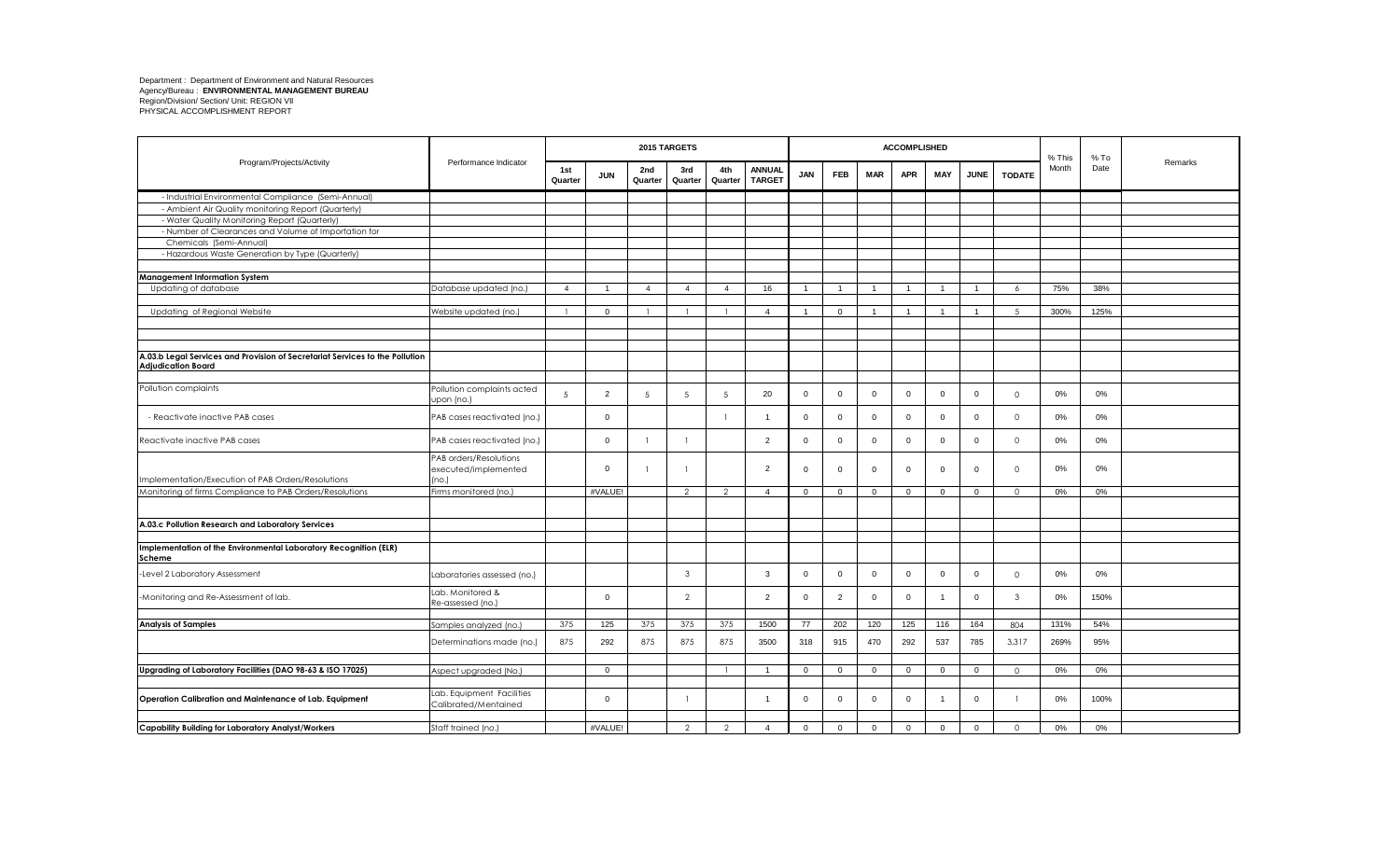|                                                                                                           |                                                        |                |                |                | 2015 TARGETS   |                  |                                |                |                |                | <b>ACCOMPLISHED</b> |                |                |                | % This | $%$ To |         |
|-----------------------------------------------------------------------------------------------------------|--------------------------------------------------------|----------------|----------------|----------------|----------------|------------------|--------------------------------|----------------|----------------|----------------|---------------------|----------------|----------------|----------------|--------|--------|---------|
| Program/Projects/Activity                                                                                 | Performance Indicator                                  | 1st<br>Quarter | <b>JUN</b>     | 2nd<br>Quarter | 3rd<br>Quarter | 4th<br>Quarter   | <b>ANNUAL</b><br><b>TARGET</b> | <b>JAN</b>     | <b>FEB</b>     | <b>MAR</b>     | <b>APR</b>          | <b>MAY</b>     | <b>JUNE</b>    | <b>TODATE</b>  | Month  | Date   | Remarks |
| - Industrial Environmental Compliance (Semi-Annual)                                                       |                                                        |                |                |                |                |                  |                                |                |                |                |                     |                |                |                |        |        |         |
| - Ambient Air Quality monitoring Report (Quarterly)                                                       |                                                        |                |                |                |                |                  |                                |                |                |                |                     |                |                |                |        |        |         |
| - Water Quality Monitoring Report (Quarterly)                                                             |                                                        |                |                |                |                |                  |                                |                |                |                |                     |                |                |                |        |        |         |
| - Number of Clearances and Volume of Importation for                                                      |                                                        |                |                |                |                |                  |                                |                |                |                |                     |                |                |                |        |        |         |
| Chemicals (Semi-Annual)                                                                                   |                                                        |                |                |                |                |                  |                                |                |                |                |                     |                |                |                |        |        |         |
| - Hazardous Waste Generation by Type (Quarterly)                                                          |                                                        |                |                |                |                |                  |                                |                |                |                |                     |                |                |                |        |        |         |
| <b>Management Information System</b>                                                                      |                                                        |                |                |                |                |                  |                                |                |                |                |                     |                |                |                |        |        |         |
| Updating of database                                                                                      | Database updated (no.)                                 | $\overline{4}$ | $\overline{1}$ | $\overline{4}$ | $\overline{4}$ | $\boldsymbol{A}$ | 16                             | $\overline{1}$ | $\overline{1}$ | $\overline{1}$ | $\overline{1}$      | $\overline{1}$ | $\overline{1}$ | $\overline{a}$ | 75%    | 38%    |         |
|                                                                                                           |                                                        |                |                |                |                |                  |                                |                |                |                |                     |                |                |                |        |        |         |
| Updating of Regional Website                                                                              | Website updated (no.)                                  |                | $\mathbf 0$    |                |                |                  | $\overline{4}$                 | $\overline{1}$ | $\mathbf 0$    | $\mathbf{1}$   | $\overline{1}$      | $\overline{1}$ | $\overline{1}$ | 5              | 300%   | 125%   |         |
|                                                                                                           |                                                        |                |                |                |                |                  |                                |                |                |                |                     |                |                |                |        |        |         |
|                                                                                                           |                                                        |                |                |                |                |                  |                                |                |                |                |                     |                |                |                |        |        |         |
|                                                                                                           |                                                        |                |                |                |                |                  |                                |                |                |                |                     |                |                |                |        |        |         |
| A.03.b Legal Services and Provision of Secretariat Services to the Pollution<br><b>Adjudication Board</b> |                                                        |                |                |                |                |                  |                                |                |                |                |                     |                |                |                |        |        |         |
|                                                                                                           |                                                        |                |                |                |                |                  |                                |                |                |                |                     |                |                |                |        |        |         |
| Pollution complaints                                                                                      | Pollution complaints acted<br>Jpon (no.)               | 5              | $\overline{2}$ | .5             | 5              | $5\overline{5}$  | 20                             | $\overline{0}$ | $\Omega$       | $\mathbf 0$    | $\mathbf 0$         | $\overline{0}$ | $\mathbf{0}$   | $\Omega$       | 0%     | 0%     |         |
| - Reactivate inactive PAB cases                                                                           | PAB cases reactivated (no.)                            |                | $\mathbf 0$    |                |                | $\mathbf{1}$     | $\overline{1}$                 | $\overline{0}$ | $\mathbf 0$    | $\mathbf{0}$   | $\mathbf 0$         | $\overline{0}$ | $\mathbf 0$    | $\circ$        | 0%     | 0%     |         |
| Reactivate inactive PAB cases                                                                             | PAB cases reactivated (no.)                            |                | $\mathbf{0}$   |                |                |                  | 2                              | $\overline{0}$ | $\Omega$       | $\mathbf{0}$   | $\mathbf 0$         | $\Omega$       | $\mathbf 0$    | $\Omega$       | 0%     | 0%     |         |
| Implementation/Execution of PAB Orders/Resolutions                                                        | PAB orders/Resolutions<br>executed/implemented<br>no.) |                | $\mathbf 0$    |                |                |                  | 2                              | $\mathsf 0$    | $\mathbf 0$    | $\mathsf 0$    | $\mathsf 0$         | $\mathbf 0$    | $\mathbf 0$    | $\Omega$       | 0%     | 0%     |         |
| Monitoring of firms Compliance to PAB Orders/Resolutions                                                  | Firms monitored (no.)                                  |                | #VALUE!        |                | $\mathcal{L}$  | $\mathcal{D}$    | $\overline{4}$                 | $\overline{0}$ | $\mathbf{0}$   | $\mathbf 0$    | $\mathbf 0$         | $\mathbf 0$    | $\mathbf 0$    | $\Omega$       | 0%     | 0%     |         |
|                                                                                                           |                                                        |                |                |                |                |                  |                                |                |                |                |                     |                |                |                |        |        |         |
| A.03.c Pollution Research and Laboratory Services                                                         |                                                        |                |                |                |                |                  |                                |                |                |                |                     |                |                |                |        |        |         |
|                                                                                                           |                                                        |                |                |                |                |                  |                                |                |                |                |                     |                |                |                |        |        |         |
| Implementation of the Environmental Laboratory Recognition (ELR)<br>Scheme                                |                                                        |                |                |                |                |                  |                                |                |                |                |                     |                |                |                |        |        |         |
| -Level 2 Laboratory Assessment                                                                            | Laboratories assessed (no.)                            |                |                |                | $\mathbf{3}$   |                  | $\mathbf{3}$                   | $\overline{0}$ | $\mathbf{0}$   | $\mathbf{0}$   | $\mathbf 0$         | $\overline{0}$ | $\mathbf 0$    | $\Omega$       | 0%     | 0%     |         |
| -Monitoring and Re-Assessment of lab.                                                                     | Lab. Monitored &<br>Re-assessed (no.)                  |                | $\mathbf{0}$   |                | $\overline{2}$ |                  | $\overline{2}$                 | $\mathbf 0$    | $\overline{2}$ | $\mathsf 0$    | $\mathbf 0$         | $\mathbf 1$    | $\mathbf 0$    | 3              | 0%     | 150%   |         |
|                                                                                                           |                                                        |                |                |                |                |                  |                                |                |                |                |                     |                |                |                |        |        |         |
| <b>Analysis of Samples</b>                                                                                | Samples analyzed (no.)                                 | 375            | 125            | 375            | 375            | 375              | 1500                           | 77             | 202            | 120            | 125                 | 116            | 164            | 804            | 131%   | 54%    |         |
|                                                                                                           | Determinations made (no.)                              | 875            | 292            | 875            | 875            | 875              | 3500                           | 318            | 915            | 470            | 292                 | 537            | 785            | 3,317          | 269%   | 95%    |         |
|                                                                                                           |                                                        |                |                |                |                |                  |                                |                |                |                |                     |                |                |                |        |        |         |
| Upgrading of Laboratory Facilities (DAO 98-63 & ISO 17025)                                                | Aspect upgraded (No.)                                  |                | $\mathbf{0}$   |                |                |                  | $\overline{1}$                 | $\overline{0}$ | $\mathbf{0}$   | $\mathbf{0}$   | $\overline{0}$      | $\overline{0}$ | $\mathbf{0}$   | $\circ$        | 0%     | 0%     |         |
| Operation Calibration and Maintenance of Lab. Equipment                                                   | Lab. Equipment Facilities<br>Calibrated/Mentained      |                | $\mathbf{0}$   |                |                |                  | -1                             | $\overline{0}$ | $\Omega$       | $\mathbf{0}$   | $\mathbf 0$         | -1             | $\mathbf{0}$   |                | 0%     | 100%   |         |
|                                                                                                           |                                                        |                |                |                |                |                  |                                |                |                |                |                     |                |                |                |        |        |         |
| Capability Building for Laboratory Analyst/Workers                                                        | Staff trained (no.)                                    |                | #VALUE!        |                | $\mathcal{P}$  | $\mathcal{D}$    | $\overline{4}$                 | $\overline{0}$ | $\mathbf{0}$   | $\mathbf{0}$   | $\mathbf{0}$        | $\mathbf 0$    | $\mathbf 0$    | $\circ$        | 0%     | 0%     |         |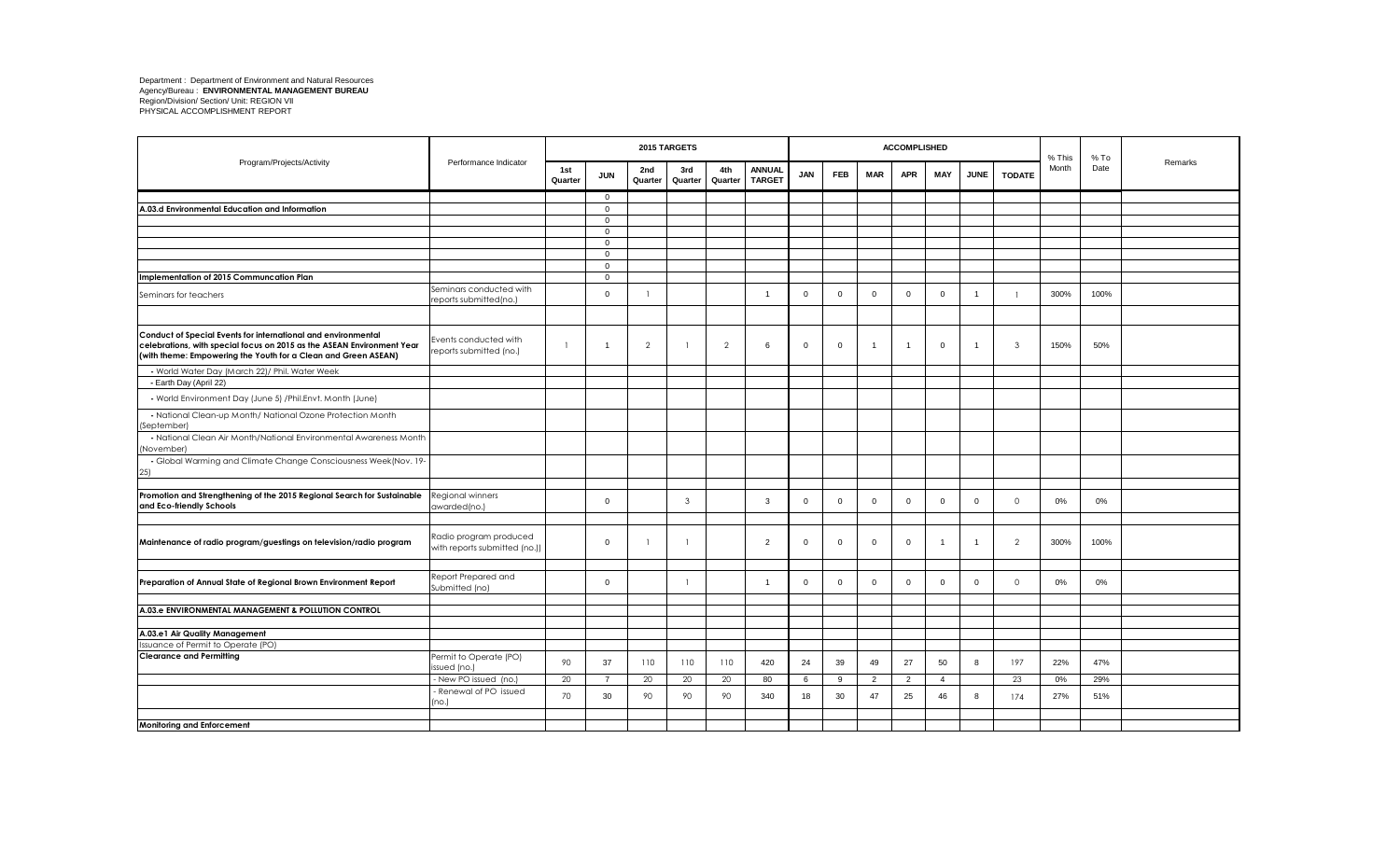|                                                                                                                                                                                                           |                                                         |                |                              |                | 2015 TARGETS   |                |                                |                |              |                | <b>ACCOMPLISHED</b> |                |                |               | % This | $%$ To |         |
|-----------------------------------------------------------------------------------------------------------------------------------------------------------------------------------------------------------|---------------------------------------------------------|----------------|------------------------------|----------------|----------------|----------------|--------------------------------|----------------|--------------|----------------|---------------------|----------------|----------------|---------------|--------|--------|---------|
| Program/Projects/Activity                                                                                                                                                                                 | Performance Indicator                                   | 1st<br>Quarter | <b>JUN</b>                   | 2nd<br>Quarter | 3rd<br>Quarter | 4th<br>Quarter | <b>ANNUAL</b><br><b>TARGET</b> | <b>JAN</b>     | <b>FEB</b>   | <b>MAR</b>     | <b>APR</b>          | MAY            | <b>JUNE</b>    | <b>TODATE</b> | Month  | Date   | Remarks |
|                                                                                                                                                                                                           |                                                         |                | $\mathbf{0}$                 |                |                |                |                                |                |              |                |                     |                |                |               |        |        |         |
| A.03.d Environmental Education and Information                                                                                                                                                            |                                                         |                | $\mathbf 0$                  |                |                |                |                                |                |              |                |                     |                |                |               |        |        |         |
|                                                                                                                                                                                                           |                                                         |                | $\mathbf{0}$                 |                |                |                |                                |                |              |                |                     |                |                |               |        |        |         |
|                                                                                                                                                                                                           |                                                         |                | $\mathbf{0}$                 |                |                |                |                                |                |              |                |                     |                |                |               |        |        |         |
|                                                                                                                                                                                                           |                                                         |                | $\overline{0}$               |                |                |                |                                |                |              |                |                     |                |                |               |        |        |         |
|                                                                                                                                                                                                           |                                                         |                | $\mathbf{0}$<br>$\mathbf{0}$ |                |                |                |                                |                |              |                |                     |                |                |               |        |        |         |
| Implementation of 2015 Communcation Plan                                                                                                                                                                  |                                                         |                | $\mathbf{0}$                 |                |                |                |                                |                |              |                |                     |                |                |               |        |        |         |
| Seminars for teachers                                                                                                                                                                                     | Seminars conducted with<br>eports submitted(no.)        |                | $\mathbf{0}$                 |                |                |                | $\overline{1}$                 | $\overline{0}$ | $\mathbf{0}$ | $\mathbf{0}$   | $\Omega$            | $\overline{0}$ | $\overline{1}$ |               | 300%   | 100%   |         |
|                                                                                                                                                                                                           |                                                         |                |                              |                |                |                |                                |                |              |                |                     |                |                |               |        |        |         |
| Conduct of Special Events for international and environmental<br>celebrations, with special focus on 2015 as the ASEAN Environment Year<br>(with theme: Empowering the Youth for a Clean and Green ASEAN) | Events conducted with<br>eports submitted (no.)         | $\overline{1}$ | $\overline{1}$               | $\mathcal{P}$  |                | 2              | -6                             | $\overline{0}$ | $\Omega$     | $\overline{1}$ | $\overline{1}$      | $\overline{0}$ | $\overline{1}$ | 3             | 150%   | 50%    |         |
| - World Water Day (March 22)/ Phil. Water Week                                                                                                                                                            |                                                         |                |                              |                |                |                |                                |                |              |                |                     |                |                |               |        |        |         |
| - Earth Day (April 22)                                                                                                                                                                                    |                                                         |                |                              |                |                |                |                                |                |              |                |                     |                |                |               |        |        |         |
| - World Environment Day (June 5) / Phil. Envt. Month (June)                                                                                                                                               |                                                         |                |                              |                |                |                |                                |                |              |                |                     |                |                |               |        |        |         |
| - National Clean-up Month/ National Ozone Protection Month<br>(September)                                                                                                                                 |                                                         |                |                              |                |                |                |                                |                |              |                |                     |                |                |               |        |        |         |
| - National Clean Air Month/National Environmental Awareness Month<br>November)                                                                                                                            |                                                         |                |                              |                |                |                |                                |                |              |                |                     |                |                |               |        |        |         |
| - Global Warming and Climate Change Consciousness Week(Nov. 19-<br>25)                                                                                                                                    |                                                         |                |                              |                |                |                |                                |                |              |                |                     |                |                |               |        |        |         |
|                                                                                                                                                                                                           |                                                         |                |                              |                |                |                |                                |                |              |                |                     |                |                |               |        |        |         |
| Promotion and Strengthening of the 2015 Regional Search for Sustainable<br>and Eco-friendly Schools                                                                                                       | Regional winners<br>awarded(no.)                        |                | $\mathbf{0}$                 |                | $\mathbf{3}$   |                | 3                              | $\overline{0}$ | $\Omega$     | $\mathbf{0}$   | $\mathbf 0$         | $\overline{0}$ | $\mathbf 0$    | $\Omega$      | 0%     | 0%     |         |
|                                                                                                                                                                                                           |                                                         |                |                              |                |                |                |                                |                |              |                |                     |                |                |               |        |        |         |
| Maintenance of radio program/guestings on television/radio program                                                                                                                                        | Radio program produced<br>with reports submitted (no.)) |                | $\mathbf{0}$                 |                |                |                | 2                              | $\overline{0}$ | $\Omega$     | $\mathbf{0}$   | $\mathbf 0$         | $\overline{1}$ | -1             | $\mathcal{P}$ | 300%   | 100%   |         |
|                                                                                                                                                                                                           |                                                         |                |                              |                |                |                |                                |                |              |                |                     |                |                |               |        |        |         |
| Preparation of Annual State of Regional Brown Environment Report                                                                                                                                          | Report Prepared and<br>Submitted (no)                   |                | $\mathbf{0}$                 |                |                |                | $\overline{1}$                 | $\overline{0}$ | $\Omega$     | $\mathbf{0}$   | $\mathbf{0}$        | $\overline{0}$ | $\mathbf{0}$   | $\Omega$      | 0%     | 0%     |         |
|                                                                                                                                                                                                           |                                                         |                |                              |                |                |                |                                |                |              |                |                     |                |                |               |        |        |         |
| A.03.e ENVIRONMENTAL MANAGEMENT & POLLUTION CONTROL                                                                                                                                                       |                                                         |                |                              |                |                |                |                                |                |              |                |                     |                |                |               |        |        |         |
|                                                                                                                                                                                                           |                                                         |                |                              |                |                |                |                                |                |              |                |                     |                |                |               |        |        |         |
| A.03.e1 Air Quality Management<br>Issuance of Permit to Operate (PO)                                                                                                                                      |                                                         |                |                              |                |                |                |                                |                |              |                |                     |                |                |               |        |        |         |
| <b>Clearance and Permitting</b>                                                                                                                                                                           | Permit to Operate (PO)                                  |                |                              |                |                |                |                                |                |              |                |                     |                |                |               |        |        |         |
|                                                                                                                                                                                                           | ssued (no.)                                             | 90             | 37                           | 110            | 110            | 110            | 420                            | 24             | 39           | 49             | 27                  | 50             | 8              | 197           | 22%    | 47%    |         |
|                                                                                                                                                                                                           | New PO issued (no.)                                     | 20             | $\overline{7}$               | 20             | 20             | 20             | 80                             | 6              | $\mathbf{Q}$ | 2              | $\overline{2}$      | $\overline{4}$ |                | 23            | 0%     | 29%    |         |
|                                                                                                                                                                                                           | Renewal of PO issued<br>no.)                            | 70             | 30                           | 90             | 90             | 90             | 340                            | 18             | 30           | 47             | 25                  | 46             | 8              | 174           | 27%    | 51%    |         |
|                                                                                                                                                                                                           |                                                         |                |                              |                |                |                |                                |                |              |                |                     |                |                |               |        |        |         |
| <b>Monitoring and Enforcement</b>                                                                                                                                                                         |                                                         |                |                              |                |                |                |                                |                |              |                |                     |                |                |               |        |        |         |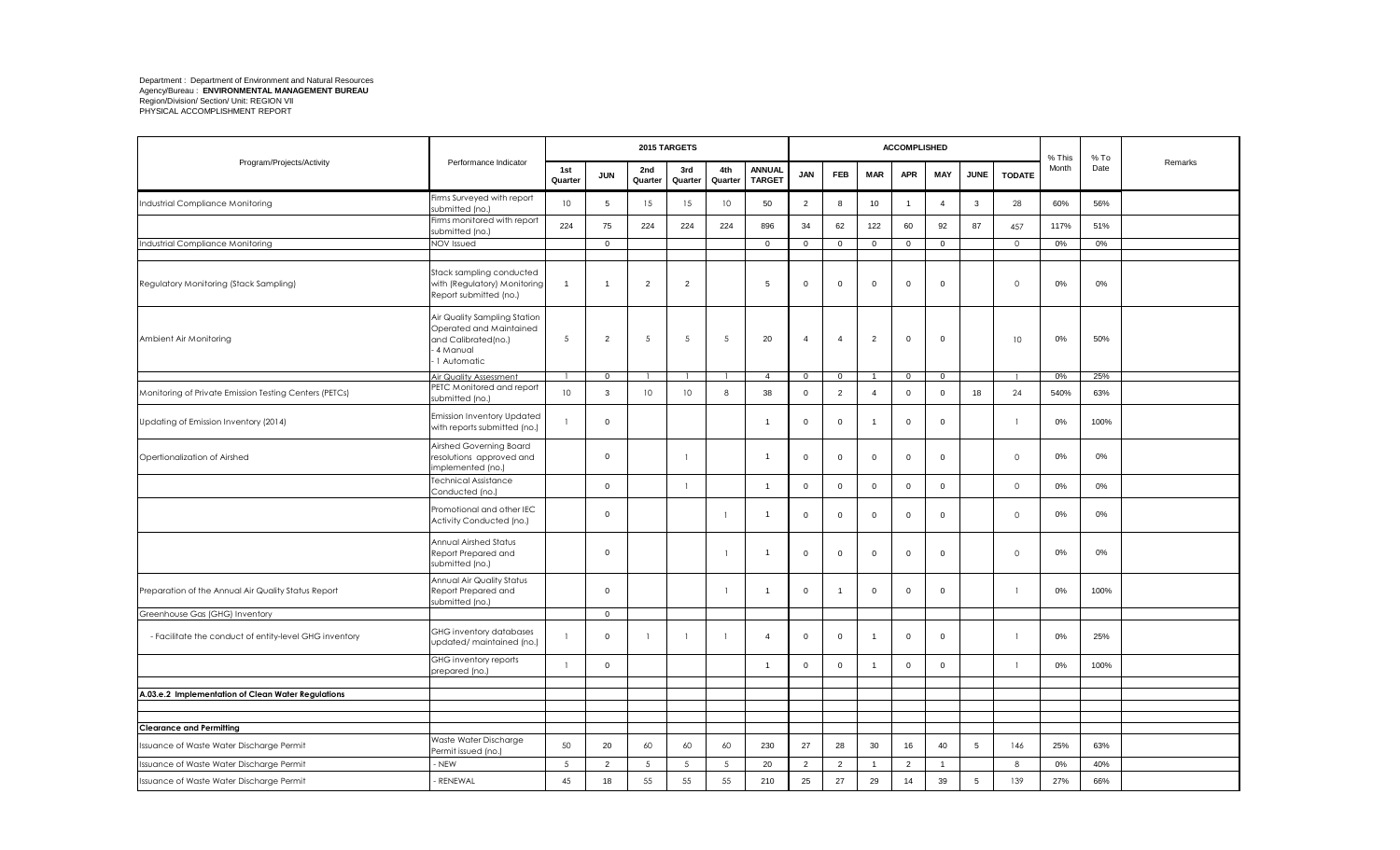|                                                        |                                                                                                             |                 |                |                 | 2015 TARGETS    |                 |                                |                         |                |                | <b>ACCOMPLISHED</b> |                |             |               | % This | $%$ To |         |
|--------------------------------------------------------|-------------------------------------------------------------------------------------------------------------|-----------------|----------------|-----------------|-----------------|-----------------|--------------------------------|-------------------------|----------------|----------------|---------------------|----------------|-------------|---------------|--------|--------|---------|
| Program/Projects/Activity                              | Performance Indicator                                                                                       | 1st<br>Quarter  | <b>JUN</b>     | 2nd<br>Quarter  | 3rd<br>Quarter  | 4th<br>Quarter  | <b>ANNUAL</b><br><b>TARGET</b> | <b>JAN</b>              | FEB            | <b>MAR</b>     | <b>APR</b>          | MAY            | <b>JUNE</b> | <b>TODATE</b> | Month  | Date   | Remarks |
| Industrial Compliance Monitoring                       | Firms Surveyed with report<br>submitted (no.)                                                               | 10              | 5              | 15              | 15              | 10 <sup>°</sup> | 50                             | $\overline{2}$          | 8              | 10             | $\overline{1}$      | $\overline{4}$ | 3           | 28            | 60%    | 56%    |         |
|                                                        | Firms monitored with report<br>submitted (no.)                                                              | 224             | 75             | 224             | 224             | 224             | 896                            | 34                      | 62             | 122            | 60                  | 92             | 87          | 457           | 117%   | 51%    |         |
| Industrial Compliance Monitoring                       | NOV Issued                                                                                                  |                 | $\mathbf 0$    |                 |                 |                 | $\mathbf 0$                    | $\mathbf 0$             | $\mathbf 0$    | $\mathbf 0$    | $\mathbf 0$         | $\mathsf 0$    |             | $\circ$       | 0%     | 0%     |         |
|                                                        |                                                                                                             |                 |                |                 |                 |                 |                                |                         |                |                |                     |                |             |               |        |        |         |
| Regulatory Monitoring (Stack Sampling)                 | Stack sampling conducted<br>with (Regulatory) Monitoring<br>Report submitted (no.)                          | $\overline{1}$  | $\mathbf 1$    | $\overline{2}$  | $\overline{2}$  |                 | 5                              | $\mathsf 0$             | $\Omega$       | 0              | $\overline{0}$      | $\mathbf 0$    |             | $\circ$       | $0\%$  | 0%     |         |
| Ambient Air Monitoring                                 | Air Quality Sampling Station<br>Operated and Maintained<br>and Calibrated(no.)<br>- 4 Manual<br>1 Automatic | 5               | $\overline{2}$ | 5               | 5               | 5               | 20                             | $\overline{4}$          | $\overline{4}$ | $\overline{2}$ | $\mathbf 0$         | $\mathbf 0$    |             | 10            | 0%     | 50%    |         |
|                                                        | Air Quality Assessment                                                                                      |                 | $\overline{0}$ |                 |                 |                 | $\overline{4}$                 | $\overline{0}$          | $\mathbf 0$    | $\overline{1}$ | $\mathbf 0$         | $\mathsf 0$    |             |               | 0%     | 25%    |         |
| Monitoring of Private Emission Testing Centers (PETCs) | PETC Monitored and report<br>submitted (no.)                                                                | 10 <sup>°</sup> | 3              | 10              | 10              | 8               | 38                             | $\mathbf 0$             | $\overline{2}$ | $\overline{4}$ | $\mathbf 0$         | $\mathbf 0$    | 18          | 24            | 540%   | 63%    |         |
| Updating of Emission Inventory (2014)                  | <b>Emission Inventory Updated</b><br>with reports submitted (no.)                                           |                 | $\mathbf 0$    |                 |                 |                 | $\overline{1}$                 | $\mathbf 0$             | $\mathbf 0$    | -1             | $\mathbf 0$         | $\mathbf 0$    |             |               | 0%     | 100%   |         |
| Opertionalization of Airshed                           | Airshed Governing Board<br>resolutions approved and<br>implemented (no.)                                    |                 | $\mathbf 0$    |                 | $\mathbf{1}$    |                 | $\overline{\mathbf{1}}$        | $\mathbf 0$             | $\mathbf 0$    | $\mathsf{O}$   | $\mathbf 0$         | $\mathbf 0$    |             | $\circ$       | 0%     | 0%     |         |
|                                                        | Technical Assistance<br>Conducted (no.)                                                                     |                 | $\overline{0}$ |                 | $\mathbf{1}$    |                 | $\overline{1}$                 | $\mathbf 0$             | $\mathbf 0$    | $\mathbf{0}$   | $\mathbf 0$         | $\overline{0}$ |             | $\Omega$      | 0%     | 0%     |         |
|                                                        | Promotional and other IEC<br>Activity Conducted (no.)                                                       |                 | $\mathbf{0}$   |                 |                 | $\mathbf{1}$    | $\overline{\mathbf{1}}$        | $\mathbf 0$             | $\mathbf 0$    | 0              | $\mathbf 0$         | $\mathbf 0$    |             | $\circ$       | 0%     | 0%     |         |
|                                                        | Annual Airshed Status<br>Report Prepared and<br>submitted (no.)                                             |                 | $\mathbf 0$    |                 |                 | -1              | -1                             | $\overline{\mathbf{0}}$ | $\mathbf 0$    | $\mathsf{O}$   | $\mathsf 0$         | $\mathbf 0$    |             | $\circ$       | 0%     | 0%     |         |
| Preparation of the Annual Air Quality Status Report    | Annual Air Quality Status<br>Report Prepared and<br>submitted (no.)                                         |                 | $\mathbf 0$    |                 |                 | $\mathbf{1}$    | $\overline{1}$                 | $\mathbf 0$             | $\overline{1}$ | $\mathbf 0$    | $\mathbf{0}$        | $\Omega$       |             |               | 0%     | 100%   |         |
| Greenhouse Gas (GHG) Inventory                         |                                                                                                             |                 | $\mathbf 0$    |                 |                 |                 |                                |                         |                |                |                     |                |             |               |        |        |         |
| - Facilitate the conduct of entity-level GHG inventory | GHG inventory databases<br>updated/maintained (no.)                                                         | $\mathbf{1}$    | $\mathbf 0$    |                 | $\mathbf{1}$    |                 | $\overline{4}$                 | $\mathbf 0$             | $\mathbf 0$    |                | $\mathbf{0}$        | $\mathbf 0$    |             |               | 0%     | 25%    |         |
|                                                        | GHG inventory reports<br>prepared (no.)                                                                     | $\overline{1}$  | 0              |                 |                 |                 | $\overline{1}$                 | $\mathbf 0$             | $\mathbf 0$    | -1             | $\mathbf 0$         | $\mathbf 0$    |             | -1            | 0%     | 100%   |         |
|                                                        |                                                                                                             |                 |                |                 |                 |                 |                                |                         |                |                |                     |                |             |               |        |        |         |
| A.03.e.2 Implementation of Clean Water Regulations     |                                                                                                             |                 |                |                 |                 |                 |                                |                         |                |                |                     |                |             |               |        |        |         |
|                                                        |                                                                                                             |                 |                |                 |                 |                 |                                |                         |                |                |                     |                |             |               |        |        |         |
| <b>Clearance and Permitting</b>                        |                                                                                                             |                 |                |                 |                 |                 |                                |                         |                |                |                     |                |             |               |        |        |         |
| Issuance of Waste Water Discharge Permit               | Waste Water Discharge<br>Permit issued (no.)                                                                | 50              | 20             | 60              | 60              | 60              | 230                            | 27                      | 28             | 30             | 16                  | 40             | 5           | 146           | 25%    | 63%    |         |
| Issuance of Waste Water Discharge Permit               | NEW                                                                                                         | $5\phantom{.0}$ | $\overline{2}$ | $5\phantom{.0}$ | $5\phantom{.0}$ | $5\phantom{.0}$ | 20                             | $\overline{2}$          | $\overline{2}$ | $\overline{1}$ | $\overline{2}$      | $\overline{1}$ |             | 8             | 0%     | 40%    |         |
| Issuance of Waste Water Discharge Permit               | <b>RENEWAL</b>                                                                                              | 45              | 18             | 55              | 55              | 55              | 210                            | 25                      | 27             | 29             | 14                  | 39             | 5           | 139           | 27%    | 66%    |         |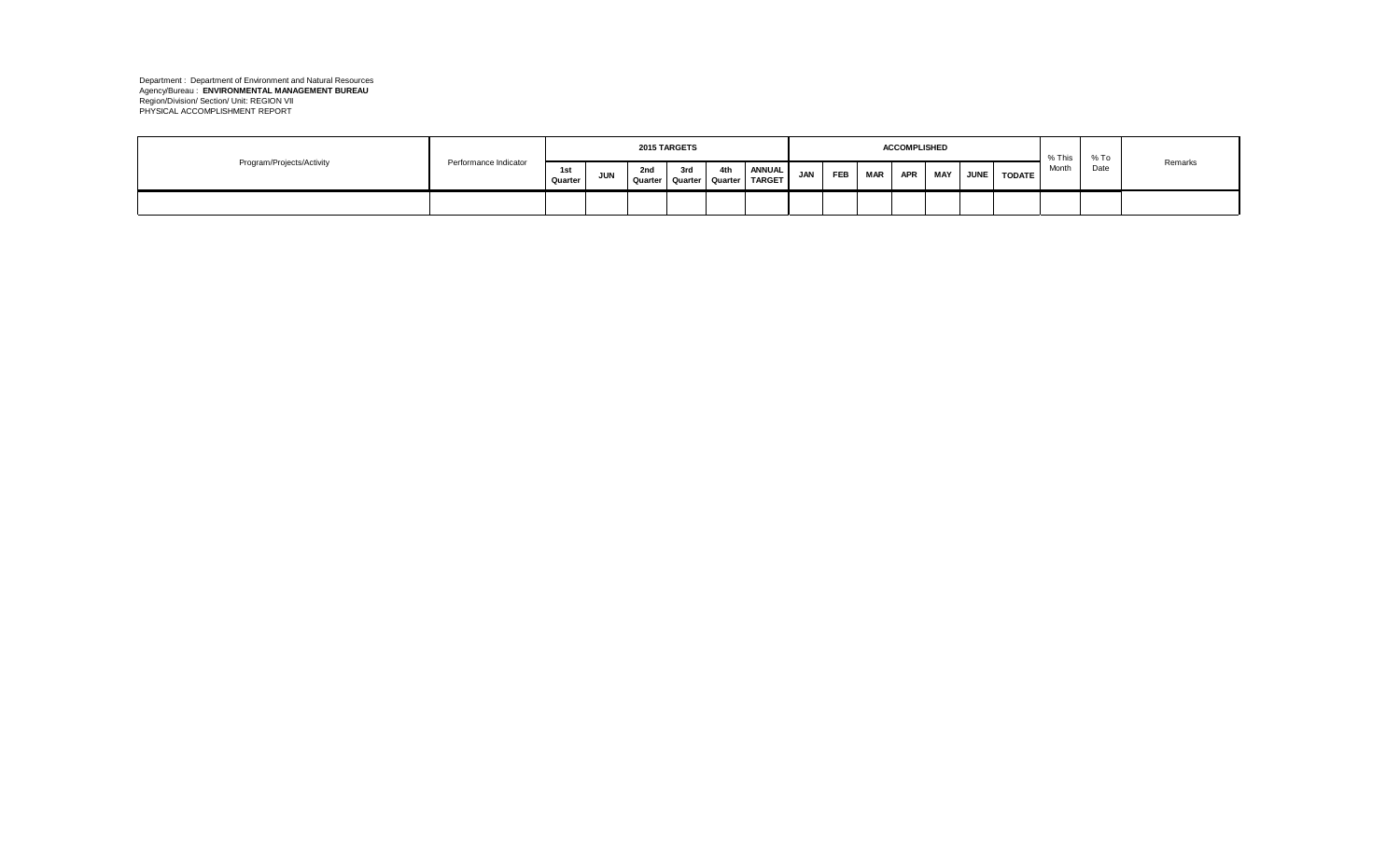|                           |                       |                |            |                                | <b>2015 TARGETS</b> |     |                                |     |     |            | <b>ACCOMPLISHED</b> |            |             |               | % This | % To |         |
|---------------------------|-----------------------|----------------|------------|--------------------------------|---------------------|-----|--------------------------------|-----|-----|------------|---------------------|------------|-------------|---------------|--------|------|---------|
| Program/Projects/Activity | Performance Indicator | 1st<br>Quarter | <b>JUN</b> | 2nd<br>Quarter Quarter Quarter | 3rd                 | 4th | <b>ANNUAL</b><br><b>TARGET</b> | JAN | FEB | <b>MAR</b> | <b>APR</b>          | <b>MAY</b> | <b>JUNE</b> | <b>TODATE</b> | Month  | Date | Remarks |
|                           |                       |                |            |                                |                     |     |                                |     |     |            |                     |            |             |               |        |      |         |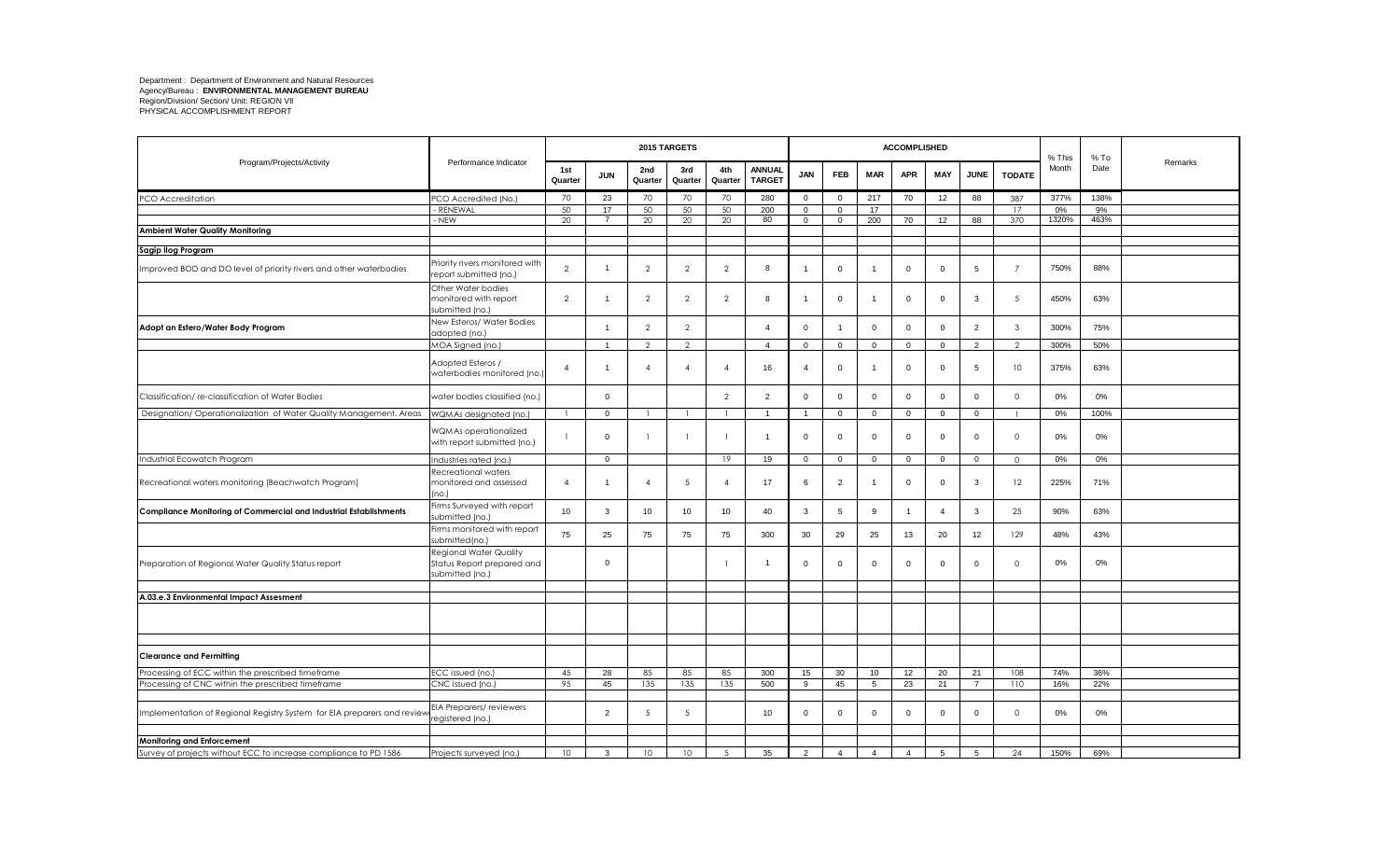|                                                                          |                                                                         |                |                |                | 2015 TARGETS   |                |                                |                |                |                | <b>ACCOMPLISHED</b> |                |                |                | % This | $%$ To |         |
|--------------------------------------------------------------------------|-------------------------------------------------------------------------|----------------|----------------|----------------|----------------|----------------|--------------------------------|----------------|----------------|----------------|---------------------|----------------|----------------|----------------|--------|--------|---------|
| Program/Projects/Activity                                                | Performance Indicator                                                   | 1st<br>Quarter | <b>JUN</b>     | 2nd<br>Quarter | 3rd<br>Quarter | 4th<br>Quarter | <b>ANNUAL</b><br><b>TARGET</b> | JAN            | FEB            | <b>MAR</b>     | <b>APR</b>          | <b>MAY</b>     | <b>JUNE</b>    | <b>TODATE</b>  | Month  | Date   | Remarks |
| PCO Accreditation                                                        | PCO Accredited (No.)                                                    | 70             | 23             | 70             | 70             | 70             | 280                            | $\overline{0}$ | $\overline{0}$ | 217            | 70                  | 12             | 88             | 387            | 377%   | 138%   |         |
|                                                                          | RENEWAI                                                                 | 50             | 17             | 50             | 50             | 50             | 200                            | $\mathbf{0}$   | $\Omega$       | 17             |                     |                |                | 17             | 0%     | 9%     |         |
|                                                                          | - NEW                                                                   | 20             | $\overline{7}$ | 20             | 20             | 20             | 80                             | $\mathbf{0}$   | $\mathbf 0$    | 200            | 70                  | 12             | 88             | 370            | 1320%  | 463%   |         |
| <b>Ambient Water Quality Monitoring</b>                                  |                                                                         |                |                |                |                |                |                                |                |                |                |                     |                |                |                |        |        |         |
| Sagip Ilog Program                                                       |                                                                         |                |                |                |                |                |                                |                |                |                |                     |                |                |                |        |        |         |
| Improved BOD and DO level of priority rivers and other waterbodies       | Priority rivers monitored with<br>report submitted (no.)                | $\overline{2}$ | $\mathbf{1}$   | $\overline{2}$ | $\overline{2}$ | $\overline{2}$ | 8                              | $\overline{1}$ | $\mathbf 0$    |                | $\mathbf{0}$        | $\overline{0}$ | 5              | 7              | 750%   | 88%    |         |
|                                                                          | Other Water bodies<br>monitored with report<br>submitted (no.)          | $\overline{2}$ | $\mathbf{1}$   | $\overline{2}$ | $\overline{2}$ | $\overline{2}$ | 8                              | $\overline{1}$ | $\mathbf 0$    |                | $\mathbf 0$         | $\mathbf 0$    | 3              | 5              | 450%   | 63%    |         |
| Adopt an Estero/Water Body Program                                       | New Esteros/ Water Bodies<br>adopted (no.)                              |                | $\overline{1}$ | $\mathcal{P}$  | $\overline{2}$ |                | $\overline{4}$                 | $\mathbf 0$    |                | $\mathbf{0}$   | $\mathbf{0}$        | $\overline{0}$ | $\overline{2}$ | 3              | 300%   | 75%    |         |
|                                                                          | MOA Signed (no.)                                                        |                | $\overline{1}$ | $\overline{2}$ | 2              |                | $\overline{4}$                 | $\mathbf{0}$   | $\mathbf{0}$   | $\mathbf{0}$   | $\mathbf{0}$        | $\mathbf 0$    | $\overline{2}$ | $\mathcal{D}$  | 300%   | 50%    |         |
|                                                                          | Adopted Esteros /<br>waterbodies monitored (no.                         | $\overline{4}$ | $\mathbf{1}$   | $\overline{4}$ | $\overline{4}$ | $\overline{4}$ | 16                             | $\overline{4}$ | $\mathbf 0$    | $\overline{1}$ | $\mathbf 0$         | $\overline{0}$ | 5              | 10             | 375%   | 63%    |         |
| Classification/re-classification of Water Bodies                         | water bodies classified (no.)                                           |                | $\mathbf 0$    |                |                | $\overline{2}$ | 2                              | $\mathbf 0$    | $\mathbf 0$    | 0              | $\mathbf 0$         | $\overline{0}$ | $\mathbf 0$    | $\circ$        | 0%     | 0%     |         |
| Designation/ Operationalization of Water Quality Management. Areas       | WQMAs designated (no.)                                                  |                | $\mathbf 0$    |                |                | $\mathbf{1}$   | $\overline{1}$                 | $\overline{1}$ | $\mathbf 0$    | $\mathbf{0}$   | $\mathbf 0$         | $\mathbf 0$    | $\overline{0}$ |                | 0%     | 100%   |         |
|                                                                          | WQMAs operationalized<br>with report submitted (no.)                    | $\mathbf{1}$   | $\mathbf 0$    |                |                | $\mathbf{1}$   | $\overline{1}$                 | $\mathbf 0$    | $\mathbf 0$    | $\mathbf 0$    | $\mathbf{0}$        | $\mathbf 0$    | $\mathbf 0$    | $\overline{0}$ | 0%     | 0%     |         |
| Industrial Ecowatch Program                                              | Industries rated (no.)                                                  |                | $\mathbf 0$    |                |                | 19             | 19                             | $\overline{0}$ | $\mathbf 0$    | $\mathbf 0$    | $\mathbf 0$         | $\overline{0}$ | $\mathbf 0$    | $\circ$        | 0%     | 0%     |         |
| Recreational waters monitoring (Beachwatch Program)                      | Recreational waters<br>monitored and assessed<br>no.)                   | $\overline{4}$ | $\overline{1}$ | $\overline{4}$ | 5              | $\overline{4}$ | 17                             | 6              | $\overline{2}$ | -1             | $\mathbf 0$         | $\mathbf 0$    | 3              | 12             | 225%   | 71%    |         |
| <b>Compliance Monitoring of Commercial and Industrial Establishments</b> | Firms Surveyed with report<br>submitted (no.)                           | 10             | 3              | 10             | 10             | 10             | 40                             | 3              | 5              | 9              | $\overline{1}$      | $\overline{4}$ | $\mathbf{3}$   | 25             | 90%    | 63%    |         |
|                                                                          | Firms monitored with report<br>submitted(no.)                           | 75             | 25             | 75             | 75             | 75             | 300                            | 30             | 29             | 25             | 13                  | 20             | 12             | 129            | 48%    | 43%    |         |
| Preparation of Regional Water Quality Status report                      | Regional Water Quality<br>Status Report prepared and<br>submitted (no.) |                | $\overline{0}$ |                |                | -1             | -1                             | $\mathbf 0$    | $\mathbf 0$    | 0              | $\mathbf 0$         | $\mathbf 0$    | $\mathbf 0$    | $\overline{0}$ | 0%     | 0%     |         |
|                                                                          |                                                                         |                |                |                |                |                |                                |                |                |                |                     |                |                |                |        |        |         |
| A.03.e.3 Environmental Impact Assesment                                  |                                                                         |                |                |                |                |                |                                |                |                |                |                     |                |                |                |        |        |         |
|                                                                          |                                                                         |                |                |                |                |                |                                |                |                |                |                     |                |                |                |        |        |         |
| <b>Clearance and Permitting</b>                                          |                                                                         |                |                |                |                |                |                                |                |                |                |                     |                |                |                |        |        |         |
| Processing of ECC within the prescribed timeframe                        | ECC issued (no.)                                                        | 45             | 28             | 85             | 85             | 85             | 300                            | 15             | 30             | 10             | 12                  | 20             | 21             | 108            | 74%    | 36%    |         |
| Processing of CNC within the prescribed timeframe                        | CNC issued (no.)                                                        | 95             | 45             | 135            | 135            | 135            | 500                            | 9              | 45             | 5              | 23                  | 21             | $\overline{7}$ | 110            | 16%    | 22%    |         |
| Implementation of Regional Registry System for EIA preparers and reviet  | EIA Preparers/reviewers<br>registered (no.)                             |                | $\overline{2}$ | 5              | 5              |                | 10                             | $\mathbf 0$    | $\Omega$       | $\mathbf{0}$   | $\mathbf{0}$        | $\mathbf 0$    | $\mathbf 0$    | $\circ$        | 0%     | 0%     |         |
|                                                                          |                                                                         |                |                |                |                |                |                                |                |                |                |                     |                |                |                |        |        |         |
| <b>Monitoring and Enforcement</b>                                        |                                                                         |                |                |                |                |                |                                |                |                |                |                     |                |                |                |        |        |         |
| Survey of projects without ECC to increase compliance to PD 1586         | Projects surveyed (no.)                                                 | 10             | $\mathbf{3}$   | 10             | 10             | $\sqrt{5}$     | 35                             | 2              | $\overline{4}$ | $\overline{4}$ | $\overline{4}$      | 5              | 5              | 24             | 150%   | 69%    |         |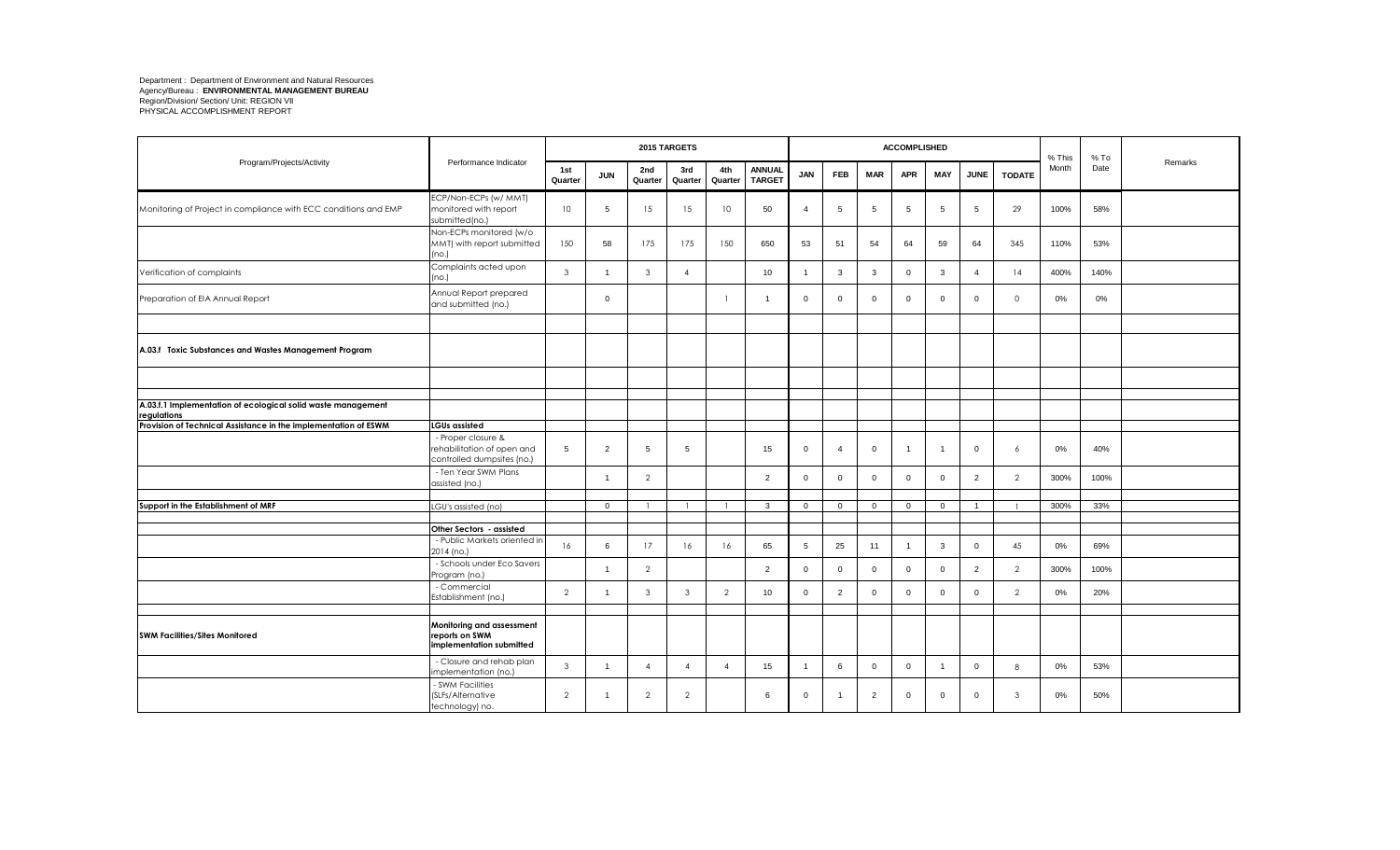|                                                                             |                                                                                |                |                |                | 2015 TARGETS   |                |                                |                |                |                | <b>ACCOMPLISHED</b> |                |                |                | % This | $%$ To |         |
|-----------------------------------------------------------------------------|--------------------------------------------------------------------------------|----------------|----------------|----------------|----------------|----------------|--------------------------------|----------------|----------------|----------------|---------------------|----------------|----------------|----------------|--------|--------|---------|
| Program/Projects/Activity                                                   | Performance Indicator                                                          | 1st<br>Quarter | <b>JUN</b>     | 2nd<br>Quarter | 3rd<br>Quarter | 4th<br>Quarter | <b>ANNUAL</b><br><b>TARGET</b> | <b>JAN</b>     | <b>FEB</b>     | <b>MAR</b>     | <b>APR</b>          | MAY            | <b>JUNE</b>    | <b>TODATE</b>  | Month  | Date   | Remarks |
| Monitoring of Project in compliance with ECC conditions and EMP             | ECP/Non-ECPs (w/ MMT)<br>monitored with report<br>submitted(no.)               | 10             | 5              | 15             | 15             | 10             | 50                             | $\overline{4}$ | 5              | 5              | 5                   | 5              | 5              | 29             | 100%   | 58%    |         |
|                                                                             | Non-ECPs monitored (w/o<br>MMT) with report submitted<br>(no.)                 | 150            | 58             | 175            | 175            | 150            | 650                            | 53             | 51             | 54             | 64                  | 59             | 64             | 345            | 110%   | 53%    |         |
| Verification of complaints                                                  | Complaints acted upon<br>(no.)                                                 | $\mathbf{3}$   |                | 3              | $\overline{4}$ |                | 10                             | $\overline{1}$ | 3              | $\mathbf{3}$   | $\mathsf 0$         | 3              | $\overline{4}$ | 14             | 400%   | 140%   |         |
| Preparation of EIA Annual Report                                            | Annual Report prepared<br>and submitted (no.)                                  |                | $\mathbf 0$    |                |                |                | -1                             | $\overline{0}$ | $\mathbf 0$    | $\mathbf{0}$   | $\mathsf 0$         | $\mathbf{0}$   | $\mathbf 0$    | $\circ$        | 0%     | $0\%$  |         |
|                                                                             |                                                                                |                |                |                |                |                |                                |                |                |                |                     |                |                |                |        |        |         |
| A.03.f Toxic Substances and Wastes Management Program                       |                                                                                |                |                |                |                |                |                                |                |                |                |                     |                |                |                |        |        |         |
|                                                                             |                                                                                |                |                |                |                |                |                                |                |                |                |                     |                |                |                |        |        |         |
| A.03.f.1 Implementation of ecological solid waste management<br>regulations |                                                                                |                |                |                |                |                |                                |                |                |                |                     |                |                |                |        |        |         |
| Provision of Technical Assistance in the implementation of ESWM             | <b>LGUs assisted</b>                                                           |                |                |                |                |                |                                |                |                |                |                     |                |                |                |        |        |         |
|                                                                             | - Proper closure &<br>rehabilitation of open and<br>controlled dumpsites (no.) | 5              | $\overline{2}$ | 5              | 5              |                | 15                             | $\overline{0}$ | $\overline{4}$ | $\mathbf{0}$   | $\overline{1}$      |                | $\overline{0}$ | 6              | $0\%$  | 40%    |         |
|                                                                             | - Ten Year SWM Plans<br>assisted (no.)                                         |                | $\mathbf{1}$   | $\overline{2}$ |                |                | 2                              | $\overline{0}$ | $\overline{0}$ | $\mathbf{0}$   | $\mathbf 0$         | $\mathbf{0}$   | $\overline{2}$ | $\mathcal{P}$  | 300%   | 100%   |         |
|                                                                             |                                                                                |                |                |                |                |                |                                |                |                |                |                     |                |                |                |        |        |         |
| Support in the Establishment of MRF                                         | LGU's assisted (no)                                                            |                | $\overline{0}$ |                |                |                | $\mathbf{3}$                   | $\overline{0}$ | $\overline{0}$ | $\overline{0}$ | $\overline{0}$      | $\mathbf{0}$   | $\overline{1}$ |                | 300%   | 33%    |         |
|                                                                             | Other Sectors - assisted                                                       |                |                |                |                |                |                                |                |                |                |                     |                |                |                |        |        |         |
|                                                                             | - Public Markets oriented in<br>2014 (no.)                                     | 16             | 6              | 17             | 16             | 16             | 65                             | 5              | 25             | 11             | $\overline{1}$      | 3              | $\mathbf 0$    | 45             | $0\%$  | 69%    |         |
|                                                                             | - Schools under Eco Savers<br>Program (no.)                                    |                | $\mathbf{1}$   | $\overline{2}$ |                |                | $\overline{2}$                 | $\mathbf 0$    | $\mathbf 0$    | $\mathsf{O}$   | $\mathbf 0$         | $\mathbf{0}$   | 2              | $\overline{2}$ | 300%   | 100%   |         |
|                                                                             | - Commercial<br>Establishment (no.)                                            | 2              | 1              | $\mathbf{3}$   | $\mathbf{3}$   | $\overline{2}$ | 10                             | $\mathbf 0$    | $\overline{2}$ | $\overline{0}$ | $\mathbf{0}$        | $\mathbf 0$    | $\mathbf 0$    | $\overline{2}$ | 0%     | 20%    |         |
|                                                                             |                                                                                |                |                |                |                |                |                                |                |                |                |                     |                |                |                |        |        |         |
| <b>SWM Facilities/Sites Monitored</b>                                       | Monitoring and assessment<br>reports on SWM<br>implementation submitted        |                |                |                |                |                |                                |                |                |                |                     |                |                |                |        |        |         |
|                                                                             | - Closure and rehab plan<br>mplementation (no.)                                | $\mathbf{3}$   | $\overline{1}$ | $\overline{4}$ | $\overline{4}$ | $\overline{4}$ | 15                             | $\overline{1}$ | 6              | $\mathbf 0$    | $\mathbf{0}$        | $\overline{1}$ | $\mathbf 0$    | 8              | 0%     | 53%    |         |
|                                                                             | <b>SWM Facilities</b><br>(SLFs/Alternative<br>technology) no.                  | $\overline{2}$ | 1              | $\overline{2}$ | $\overline{2}$ |                | 6                              | $\overline{0}$ |                | $\overline{2}$ | $\mathbf{0}$        | $\mathbf{0}$   | $\mathbf 0$    | 3              | 0%     | 50%    |         |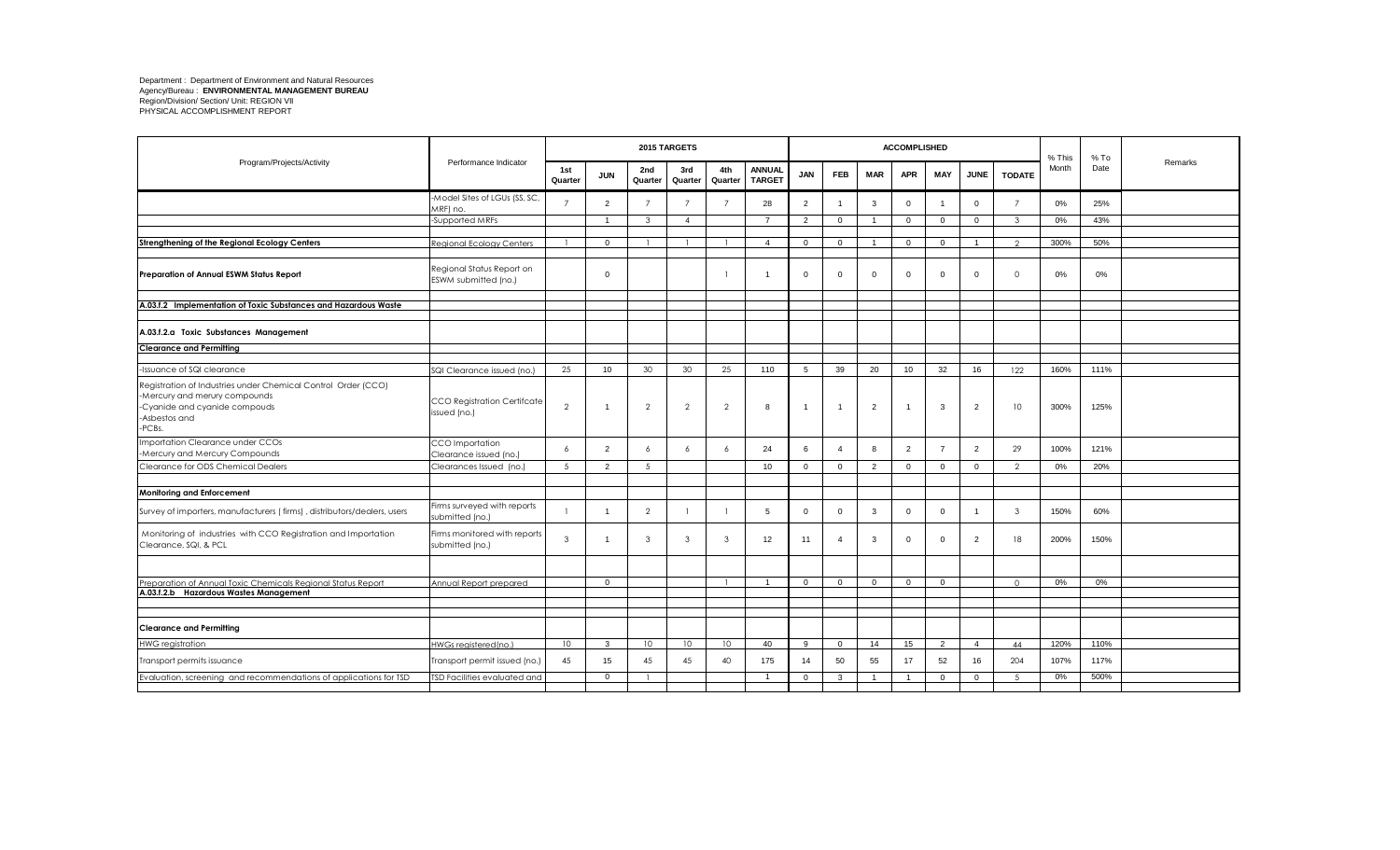|                                                                                                                                                            |                                                   |                 |                |                 | 2015 TARGETS    |                |                                |                |                |                | <b>ACCOMPLISHED</b> |                |                |                | % This | $%$ To |         |
|------------------------------------------------------------------------------------------------------------------------------------------------------------|---------------------------------------------------|-----------------|----------------|-----------------|-----------------|----------------|--------------------------------|----------------|----------------|----------------|---------------------|----------------|----------------|----------------|--------|--------|---------|
| Program/Projects/Activity                                                                                                                                  | Performance Indicator                             | 1st<br>Quarter  | <b>JUN</b>     | 2nd<br>Quarter  | 3rd<br>Quarter  | 4th<br>Quarter | <b>ANNUAL</b><br><b>TARGET</b> | <b>JAN</b>     | <b>FEB</b>     | <b>MAR</b>     | <b>APR</b>          | MAY            | <b>JUNE</b>    | <b>TODATE</b>  | Month  | Date   | Remarks |
|                                                                                                                                                            | Model Sites of LGUs (SS, SC,<br>MRF) no.          | $\overline{7}$  | $\overline{2}$ | $\overline{7}$  | $\overline{7}$  | $\overline{7}$ | 28                             | $\overline{2}$ |                | 3              | $\mathbf 0$         |                | $\Omega$       | $\overline{7}$ | 0%     | 25%    |         |
|                                                                                                                                                            | -Supported MRFs                                   |                 | $\overline{1}$ | 3               | $\overline{4}$  |                | $\overline{7}$                 | 2              | $\overline{0}$ | $\overline{1}$ | $\Omega$            | $\mathbf{0}$   | $\overline{0}$ | $\mathcal{R}$  | 0%     | 43%    |         |
|                                                                                                                                                            |                                                   |                 |                |                 |                 |                | $\overline{a}$                 |                |                | $\overline{1}$ |                     |                |                | $\Omega$       |        |        |         |
| Strengthening of the Regional Ecology Centers                                                                                                              | Regional Ecology Centers                          |                 | $\overline{0}$ |                 |                 |                |                                | $\mathbf{0}$   | $\Omega$       |                | $\Omega$            | $\mathbf{0}$   | $\overline{1}$ |                | 300%   | 50%    |         |
| Preparation of Annual ESWM Status Report                                                                                                                   | Regional Status Report on<br>ESWM submitted (no.) |                 | $\Omega$       |                 |                 |                |                                | $\mathbf 0$    | $\Omega$       | $\mathbf{0}$   | $\overline{0}$      | $\mathbf{0}$   | $\mathbf{0}$   | $\Omega$       | 0%     | 0%     |         |
| A.03.f.2 Implementation of Toxic Substances and Hazardous Waste                                                                                            |                                                   |                 |                |                 |                 |                |                                |                |                |                |                     |                |                |                |        |        |         |
|                                                                                                                                                            |                                                   |                 |                |                 |                 |                |                                |                |                |                |                     |                |                |                |        |        |         |
| A.03.f.2.a Toxic Substances Management                                                                                                                     |                                                   |                 |                |                 |                 |                |                                |                |                |                |                     |                |                |                |        |        |         |
| <b>Clearance and Permitting</b>                                                                                                                            |                                                   |                 |                |                 |                 |                |                                |                |                |                |                     |                |                |                |        |        |         |
|                                                                                                                                                            |                                                   |                 |                |                 |                 |                |                                |                |                |                |                     |                |                |                |        |        |         |
| -Issuance of SQI clearance                                                                                                                                 | SQI Clearance issued (no.)                        | 25              | 10             | 30              | 30              | 25             | 110                            | 5              | 39             | 20             | 10                  | 32             | 16             | 122            | 160%   | 111%   |         |
| Registration of Industries under Chemical Control Order (CCO)<br>-Mercury and merury compounds<br>-Cyanide and cyanide compouds<br>-Asbestos and<br>-PCBs. | CCO Registration Certifcate<br>issued (no.)       | $\overline{2}$  |                | $\overline{2}$  | $\overline{2}$  | $\overline{2}$ | 8                              | $\overline{1}$ | $\overline{1}$ | $\overline{2}$ | $\overline{1}$      | 3              | $\overline{2}$ | 10             | 300%   | 125%   |         |
| Importation Clearance under CCOs<br>-Mercury and Mercury Compounds                                                                                         | CCO Importation<br>Clearance issued (no.)         | 6               | $\overline{2}$ | 6               | 6               | 6              | 24                             | 6              | $\overline{4}$ | 8              | $\overline{2}$      | $\overline{7}$ | $\overline{2}$ | 29             | 100%   | 121%   |         |
| Clearance for ODS Chemical Dealers                                                                                                                         | Clearances Issued (no.)                           | 5 <sup>5</sup>  | $\overline{2}$ | 5               |                 |                | 10                             | $\mathbf{0}$   | $\mathbf{0}$   | 2              | $\mathbf{0}$        | $\mathbf{0}$   | $\mathbf{0}$   | $\mathcal{P}$  | 0%     | 20%    |         |
|                                                                                                                                                            |                                                   |                 |                |                 |                 |                |                                |                |                |                |                     |                |                |                |        |        |         |
| Monitoring and Enforcement                                                                                                                                 |                                                   |                 |                |                 |                 |                |                                |                |                |                |                     |                |                |                |        |        |         |
| Survey of importers, manufacturers (firms), distributors/dealers, users                                                                                    | Firms surveyed with reports<br>submitted (no.)    |                 | 1              | $\overline{2}$  |                 |                | 5                              | $\mathbf 0$    | $\mathbf 0$    | 3              | $\mathbf{0}$        | $\mathbf 0$    | $\overline{1}$ | 3              | 150%   | 60%    |         |
| Monitoring of industries with CCO Registration and Importation<br>Clearance, SQI, & PCL                                                                    | Firms monitored with reports<br>submitted (no.)   | $\mathbf{3}$    |                | $\mathbf{3}$    | 3               | 3              | 12                             | 11             | $\overline{4}$ | 3              | $\mathbf 0$         | $\mathbf 0$    | $\overline{2}$ | 18             | 200%   | 150%   |         |
|                                                                                                                                                            |                                                   |                 |                |                 |                 |                |                                |                |                |                |                     |                |                |                |        |        |         |
| Preparation of Annual Toxic Chemicals Regional Status Report<br>A.03.f.2.b Hazardous Wastes Management                                                     | Annual Report prepared                            |                 | $\Omega$       |                 |                 |                | $\overline{1}$                 | $\Omega$       | $\Omega$       | $\Omega$       | $\Omega$            | $\Omega$       |                | $\cap$         | 0%     | 0%     |         |
|                                                                                                                                                            |                                                   |                 |                |                 |                 |                |                                |                |                |                |                     |                |                |                |        |        |         |
|                                                                                                                                                            |                                                   |                 |                |                 |                 |                |                                |                |                |                |                     |                |                |                |        |        |         |
| <b>Clearance and Permitting</b>                                                                                                                            |                                                   |                 |                |                 |                 |                |                                |                |                |                |                     |                |                |                |        |        |         |
| <b>HWG</b> registration                                                                                                                                    | HWGs reaistered (no.)                             | 10 <sup>°</sup> | 3              | 10 <sup>°</sup> | 10 <sup>°</sup> | $10 -$         | 40                             | 9              | $\Omega$       | 14             | 15                  | 2              | $\overline{4}$ | 44             | 120%   | 110%   |         |
| Transport permits issuance                                                                                                                                 | Transport permit issued (no.)                     | 45              | 15             | 45              | 45              | 40             | 175                            | 14             | 50             | 55             | 17                  | 52             | 16             | 204            | 107%   | 117%   |         |
| Evaluation, screening and recommendations of applications for TSD                                                                                          | ISD Facilities evaluated and                      |                 | $\Omega$       |                 |                 |                | $\overline{\mathbf{1}}$        | $\Omega$       | $\mathcal{R}$  | $\overline{1}$ | $\overline{1}$      | $\Omega$       | $\Omega$       | $\sqrt{2}$     | 0%     | 500%   |         |